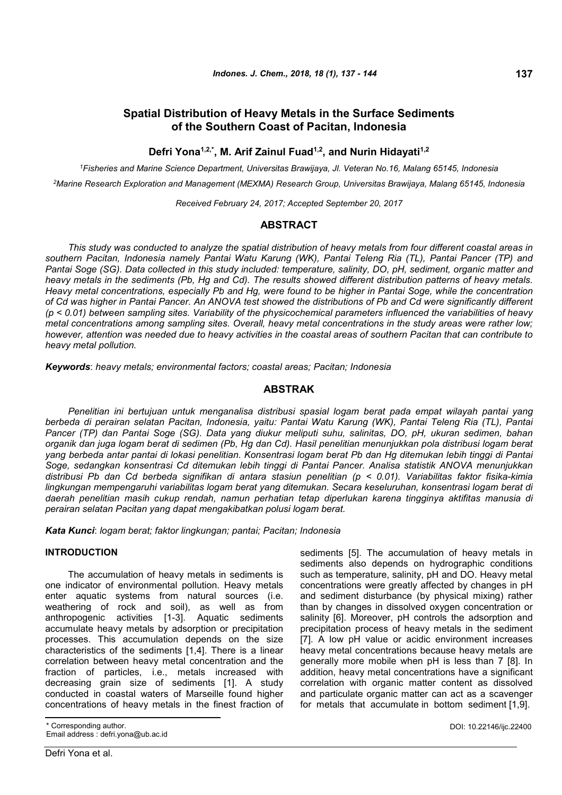# **Spatial Distribution of Heavy Metals in the Surface Sediments of the Southern Coast of Pacitan, Indonesia**

# **Defri Yona1,2,\*, M. Arif Zainul Fuad1,2, and Nurin Hidayati1,2**

*<sup>1</sup>Fisheries and Marine Science Department, Universitas Brawijaya, Jl. Veteran No.16, Malang 65145, Indonesia*

*<sup>2</sup>Marine Research Exploration and Management (MEXMA) Research Group, Universitas Brawijaya, Malang 65145, Indonesia*

*Received February 24, 2017; Accepted September 20, 2017*

# **ABSTRACT**

*This study was conducted to analyze the spatial distribution of heavy metals from four different coastal areas in southern Pacitan, Indonesia namely Pantai Watu Karung (WK), Pantai Teleng Ria (TL), Pantai Pancer (TP) and Pantai Soge (SG). Data collected in this study included: temperature, salinity, DO, pH, sediment, organic matter and heavy metals in the sediments (Pb, Hg and Cd). The results showed different distribution patterns of heavy metals. Heavy metal concentrations, especially Pb and Hg, were found to be higher in Pantai Soge, while the concentration of Cd was higher in Pantai Pancer. An ANOVA test showed the distributions of Pb and Cd were significantly different (p < 0.01) between sampling sites. Variability of the physicochemical parameters influenced the variabilities of heavy metal concentrations among sampling sites. Overall, heavy metal concentrations in the study areas were rather low; however, attention was needed due to heavy activities in the coastal areas of southern Pacitan that can contribute to heavy metal pollution.*

*Keywords*: *heavy metals; environmental factors; coastal areas; Pacitan; Indonesia*

# **ABSTRAK**

*Penelitian ini bertujuan untuk menganalisa distribusi spasial logam berat pada empat wilayah pantai yang berbeda di perairan selatan Pacitan, Indonesia, yaitu: Pantai Watu Karung (WK), Pantai Teleng Ria (TL), Pantai Pancer (TP) dan Pantai Soge (SG). Data yang diukur meliputi suhu, salinitas, DO, pH, ukuran sedimen, bahan organik dan juga logam berat di sedimen (Pb, Hg dan Cd). Hasil penelitian menunjukkan pola distribusi logam berat yang berbeda antar pantai di lokasi penelitian. Konsentrasi logam berat Pb dan Hg ditemukan lebih tinggi di Pantai Soge, sedangkan konsentrasi Cd ditemukan lebih tinggi di Pantai Pancer. Analisa statistik ANOVA menunjukkan distribusi Pb dan Cd berbeda signifikan di antara stasiun penelitian (p < 0.01). Variabilitas faktor fisika-kimia lingkungan mempengaruhi variabilitas logam berat yang ditemukan. Secara keseluruhan, konsentrasi logam berat di daerah penelitian masih cukup rendah, namun perhatian tetap diperlukan karena tingginya aktifitas manusia di perairan selatan Pacitan yang dapat mengakibatkan polusi logam berat.*

*Kata Kunci*: *logam berat; faktor lingkungan; pantai; Pacitan; Indonesia*

## **INTRODUCTION**

The accumulation of heavy metals in sediments is one indicator of environmental pollution. Heavy metals enter aquatic systems from natural sources (i.e. weathering of rock and soil), as well as from anthropogenic activities [1-3]. Aquatic sediments accumulate heavy metals by adsorption or precipitation processes. This accumulation depends on the size characteristics of the sediments [1,4]. There is a linear correlation between heavy metal concentration and the fraction of particles, i.e., metals increased with decreasing grain size of sediments [1]. A study conducted in coastal waters of Marseille found higher concentrations of heavy metals in the finest fraction of

\* Corresponding author. Email address : defri.yona@ub.ac.id sediments [5]. The accumulation of heavy metals in sediments also depends on hydrographic conditions such as temperature, salinity, pH and DO. Heavy metal concentrations were greatly affected by changes in pH and sediment disturbance (by physical mixing) rather than by changes in dissolved oxygen concentration or salinity [6]. Moreover, pH controls the adsorption and precipitation process of heavy metals in the sediment [7]. A low pH value or acidic environment increases heavy metal concentrations because heavy metals are generally more mobile when pH is less than 7 [8]. In addition, heavy metal concentrations have a significant correlation with organic matter content as dissolved and particulate organic matter can act as a scavenger for metals that accumulate in bottom sediment [1,9].

DOI: 10.22146/ijc.22400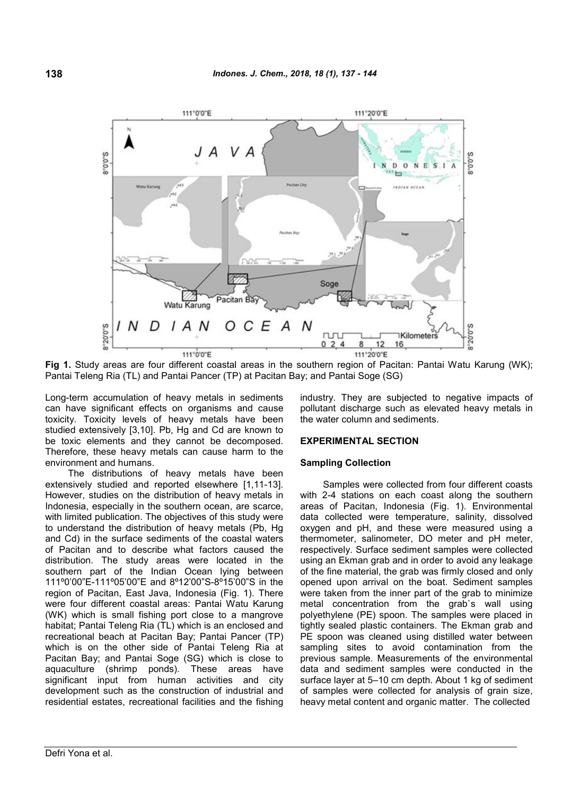

**Fig 1.** Study areas are four different coastal areas in the southern region of Pacitan: Pantai Watu Karung (WK); Pantai Teleng Ria (TL) and Pantai Pancer (TP) at Pacitan Bay; and Pantai Soge (SG)

Long-term accumulation of heavy metals in sediments can have significant effects on organisms and cause toxicity. Toxicity levels of heavy metals have been studied extensively [3,10]. Pb, Hg and Cd are known to be toxic elements and they cannot be decomposed. Therefore, these heavy metals can cause harm to the environment and humans.

The distributions of heavy metals have been extensively studied and reported elsewhere [1,11-13]. However, studies on the distribution of heavy metals in Indonesia, especially in the southern ocean, are scarce, with limited publication. The objectives of this study were to understand the distribution of heavy metals (Pb, Hg and Cd) in the surface sediments of the coastal waters of Pacitan and to describe what factors caused the distribution. The study areas were located in the southern part of the Indian Ocean lying between 111º0'00"E-111º05'00"E and 8º12'00"S-8º15'00"S in the region of Pacitan, East Java, Indonesia (Fig. 1). There were four different coastal areas: Pantai Watu Karung (WK) which is small fishing port close to a mangrove habitat; Pantai Teleng Ria (TL) which is an enclosed and recreational beach at Pacitan Bay; Pantai Pancer (TP) which is on the other side of Pantai Teleng Ria at Pacitan Bay; and Pantai Soge (SG) which is close to aquaculture (shrimp ponds). These areas have significant input from human activities and city development such as the construction of industrial and residential estates, recreational facilities and the fishing

industry. They are subjected to negative impacts of pollutant discharge such as elevated heavy metals in the water column and sediments.

## **EXPERIMENTAL SECTION**

#### **Sampling Collection**

Samples were collected from four different coasts with 2-4 stations on each coast along the southern areas of Pacitan, Indonesia (Fig. 1). Environmental data collected were temperature, salinity, dissolved oxygen and pH, and these were measured using a thermometer, salinometer, DO meter and pH meter, respectively. Surface sediment samples were collected using an Ekman grab and in order to avoid any leakage of the fine material, the grab was firmly closed and only opened upon arrival on the boat. Sediment samples were taken from the inner part of the grab to minimize metal concentration from the grab`s wall using polyethylene (PE) spoon. The samples were placed in tightly sealed plastic containers. The Ekman grab and PE spoon was cleaned using distilled water between sampling sites to avoid contamination from the previous sample. Measurements of the environmental data and sediment samples were conducted in the surface layer at 5–10 cm depth. About 1 kg of sediment of samples were collected for analysis of grain size, heavy metal content and organic matter. The collected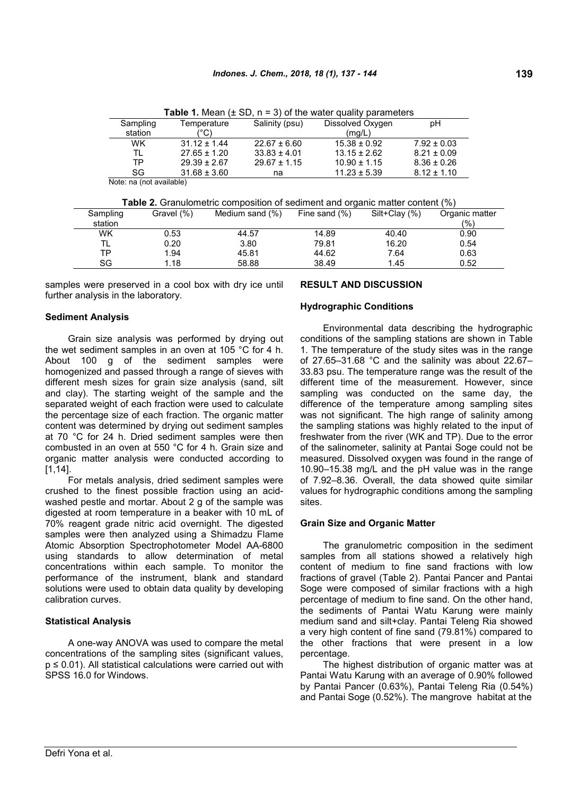|           |                  | . . v.<br>ັ      | <u>of the mater againt parameters</u> |                 |
|-----------|------------------|------------------|---------------------------------------|-----------------|
| Sampling  | Temperature      | Salinity (psu)   | Dissolved Oxygen                      | pН              |
| station   | (°C)             |                  | (mg/L)                                |                 |
| <b>WK</b> | $31.12 \pm 1.44$ | $22.67 \pm 6.60$ | $15.38 \pm 0.92$                      | $7.92 \pm 0.03$ |
| TL        | $27.65 \pm 1.20$ | $33.83 \pm 4.01$ | $13.15 \pm 2.62$                      | $8.21 \pm 0.09$ |
| ТP        | $29.39 \pm 2.67$ | $29.67 \pm 1.15$ | $10.90 \pm 1.15$                      | $8.36 \pm 0.26$ |
| SG.       | $31.68 \pm 3.60$ | na               | $11.23 \pm 5.39$                      | $8.12 \pm 1.10$ |
| .         |                  |                  |                                       |                 |

**Table 1.** Mean  $(4 \text{ SD } n = 3)$  of the water quality parameters

Note: na (not available)

**Table 2.** Granulometric composition of sediment and organic matter content (%)

| Sampling | Gravel (%) | Medium sand (%) | Fine sand $(\%)$ | Silt+Clay (%) | Organic matter |
|----------|------------|-----------------|------------------|---------------|----------------|
| station  |            |                 |                  |               | (%)            |
| WK       | 0.53       | 44.57           | 14.89            | 40.40         | 0.90           |
|          | 0.20       | 3.80            | 79.81            | 16.20         | 0.54           |
| TΡ       | 1.94       | 45.81           | 44.62            | 7.64          | 0.63           |
| SG       | 1.18       | 58.88           | 38.49            | 1.45          | 0.52           |
|          |            |                 |                  |               |                |

samples were preserved in a cool box with dry ice until further analysis in the laboratory.

## **Sediment Analysis**

Grain size analysis was performed by drying out the wet sediment samples in an oven at 105 °C for 4 h. About 100 g of the sediment samples were homogenized and passed through a range of sieves with different mesh sizes for grain size analysis (sand, silt and clay). The starting weight of the sample and the separated weight of each fraction were used to calculate the percentage size of each fraction. The organic matter content was determined by drying out sediment samples at 70 °C for 24 h. Dried sediment samples were then combusted in an oven at 550 °C for 4 h. Grain size and organic matter analysis were conducted according to [1,14].

For metals analysis, dried sediment samples were crushed to the finest possible fraction using an acidwashed pestle and mortar. About 2 g of the sample was digested at room temperature in a beaker with 10 mL of 70% reagent grade nitric acid overnight. The digested samples were then analyzed using a Shimadzu Flame Atomic Absorption Spectrophotometer Model AA-6800 using standards to allow determination of metal concentrations within each sample. To monitor the performance of the instrument, blank and standard solutions were used to obtain data quality by developing calibration curves.

#### **Statistical Analysis**

A one-way ANOVA was used to compare the metal concentrations of the sampling sites (significant values, p ≤ 0.01). All statistical calculations were carried out with SPSS 16.0 for Windows.

### **RESULT AND DISCUSSION**

#### **Hydrographic Conditions**

Environmental data describing the hydrographic conditions of the sampling stations are shown in Table 1. The temperature of the study sites was in the range of 27.65–31.68 °C and the salinity was about 22.67– 33.83 psu. The temperature range was the result of the different time of the measurement. However, since sampling was conducted on the same day, the difference of the temperature among sampling sites was not significant. The high range of salinity among the sampling stations was highly related to the input of freshwater from the river (WK and TP). Due to the error of the salinometer, salinity at Pantai Soge could not be measured. Dissolved oxygen was found in the range of 10.90–15.38 mg/L and the pH value was in the range of 7.92–8.36. Overall, the data showed quite similar values for hydrographic conditions among the sampling sites.

#### **Grain Size and Organic Matter**

The granulometric composition in the sediment samples from all stations showed a relatively high content of medium to fine sand fractions with low fractions of gravel (Table 2). Pantai Pancer and Pantai Soge were composed of similar fractions with a high percentage of medium to fine sand. On the other hand, the sediments of Pantai Watu Karung were mainly medium sand and silt+clay. Pantai Teleng Ria showed a very high content of fine sand (79.81%) compared to the other fractions that were present in a low percentage.

The highest distribution of organic matter was at Pantai Watu Karung with an average of 0.90% followed by Pantai Pancer (0.63%), Pantai Teleng Ria (0.54%) and Pantai Soge (0.52%). The mangrove habitat at the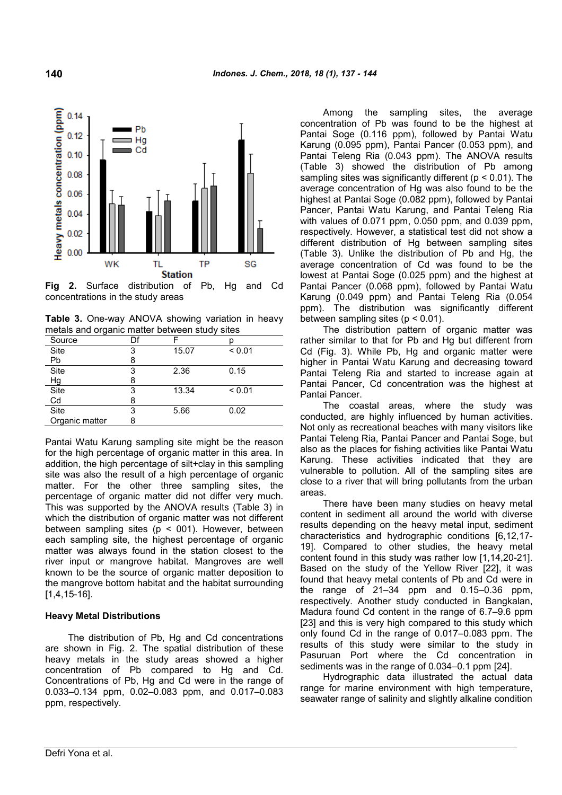

**Fig 2.** Surface distribution of Pb, Hg and Cd concentrations in the study areas

**Table 3.** One-way ANOVA showing variation in heavy metals and organic matter between study sites

| $\sigma$<br>Source | Df |       |        |
|--------------------|----|-------|--------|
|                    |    |       |        |
| Site               | 3  | 15.07 | < 0.01 |
| Pb                 |    |       |        |
| Site               | 3  | 2.36  | 0.15   |
| Нg                 |    |       |        |
| Site               | 3  | 13.34 | < 0.01 |
| Cd                 |    |       |        |
| Site               | 3  | 5.66  | 0.02   |
| Organic matter     |    |       |        |

Pantai Watu Karung sampling site might be the reason for the high percentage of organic matter in this area. In addition, the high percentage of silt+clay in this sampling site was also the result of a high percentage of organic matter. For the other three sampling sites, the percentage of organic matter did not differ very much. This was supported by the ANOVA results (Table 3) in which the distribution of organic matter was not different between sampling sites ( $p < 001$ ). However, between each sampling site, the highest percentage of organic matter was always found in the station closest to the river input or mangrove habitat. Mangroves are well known to be the source of organic matter deposition to the mangrove bottom habitat and the habitat surrounding [1,4,15-16].

# **Heavy Metal Distributions**

The distribution of Pb, Hg and Cd concentrations are shown in Fig. 2. The spatial distribution of these heavy metals in the study areas showed a higher concentration of Pb compared to Hg and Cd. Concentrations of Pb, Hg and Cd were in the range of 0.033–0.134 ppm, 0.02–0.083 ppm, and 0.017–0.083 ppm, respectively.

Among the sampling sites, the average concentration of Pb was found to be the highest at Pantai Soge (0.116 ppm), followed by Pantai Watu Karung (0.095 ppm), Pantai Pancer (0.053 ppm), and Pantai Teleng Ria (0.043 ppm). The ANOVA results (Table 3) showed the distribution of Pb among sampling sites was significantly different (p < 0.01). The average concentration of Hg was also found to be the highest at Pantai Soge (0.082 ppm), followed by Pantai Pancer, Pantai Watu Karung, and Pantai Teleng Ria with values of 0.071 ppm, 0.050 ppm, and 0.039 ppm, respectively. However, a statistical test did not show a different distribution of Hg between sampling sites (Table 3). Unlike the distribution of Pb and Hg, the average concentration of Cd was found to be the lowest at Pantai Soge (0.025 ppm) and the highest at Pantai Pancer (0.068 ppm), followed by Pantai Watu Karung (0.049 ppm) and Pantai Teleng Ria (0.054 ppm). The distribution was significantly different between sampling sites  $(p < 0.01)$ .

The distribution pattern of organic matter was rather similar to that for Pb and Hg but different from Cd (Fig. 3). While Pb, Hg and organic matter were higher in Pantai Watu Karung and decreasing toward Pantai Teleng Ria and started to increase again at Pantai Pancer, Cd concentration was the highest at Pantai Pancer.

The coastal areas, where the study was conducted, are highly influenced by human activities. Not only as recreational beaches with many visitors like Pantai Teleng Ria, Pantai Pancer and Pantai Soge, but also as the places for fishing activities like Pantai Watu Karung. These activities indicated that they are vulnerable to pollution. All of the sampling sites are close to a river that will bring pollutants from the urban areas.

There have been many studies on heavy metal content in sediment all around the world with diverse results depending on the heavy metal input, sediment characteristics and hydrographic conditions [6,12,17- 19]. Compared to other studies, the heavy metal content found in this study was rather low [1,14,20-21]. Based on the study of the Yellow River [22], it was found that heavy metal contents of Pb and Cd were in the range of 21–34 ppm and 0.15–0.36 ppm, respectively. Another study conducted in Bangkalan, Madura found Cd content in the range of 6.7–9.6 ppm [23] and this is very high compared to this study which only found Cd in the range of 0.017–0.083 ppm. The results of this study were similar to the study in Pasuruan Port where the Cd concentration in sediments was in the range of 0.034–0.1 ppm [24].

Hydrographic data illustrated the actual data range for marine environment with high temperature, seawater range of salinity and slightly alkaline condition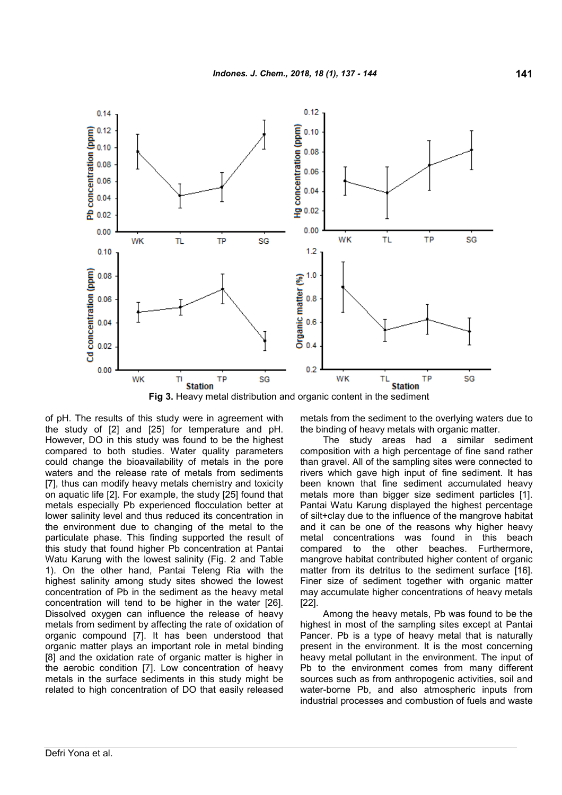

**Fig 3.** Heavy metal distribution and organic content in the sediment

of pH. The results of this study were in agreement with the study of [2] and [25] for temperature and pH. However, DO in this study was found to be the highest compared to both studies. Water quality parameters could change the bioavailability of metals in the pore waters and the release rate of metals from sediments [7], thus can modify heavy metals chemistry and toxicity on aquatic life [2]. For example, the study [25] found that metals especially Pb experienced flocculation better at lower salinity level and thus reduced its concentration in the environment due to changing of the metal to the particulate phase. This finding supported the result of this study that found higher Pb concentration at Pantai Watu Karung with the lowest salinity (Fig. 2 and Table 1). On the other hand, Pantai Teleng Ria with the highest salinity among study sites showed the lowest concentration of Pb in the sediment as the heavy metal concentration will tend to be higher in the water [26]. Dissolved oxygen can influence the release of heavy metals from sediment by affecting the rate of oxidation of organic compound [7]. It has been understood that organic matter plays an important role in metal binding [8] and the oxidation rate of organic matter is higher in the aerobic condition [7]. Low concentration of heavy metals in the surface sediments in this study might be related to high concentration of DO that easily released

metals from the sediment to the overlying waters due to the binding of heavy metals with organic matter.

The study areas had a similar sediment composition with a high percentage of fine sand rather than gravel. All of the sampling sites were connected to rivers which gave high input of fine sediment. It has been known that fine sediment accumulated heavy metals more than bigger size sediment particles [1]. Pantai Watu Karung displayed the highest percentage of silt+clay due to the influence of the mangrove habitat and it can be one of the reasons why higher heavy metal concentrations was found in this beach compared to the other beaches. Furthermore, mangrove habitat contributed higher content of organic matter from its detritus to the sediment surface [16]. Finer size of sediment together with organic matter may accumulate higher concentrations of heavy metals [22].

Among the heavy metals, Pb was found to be the highest in most of the sampling sites except at Pantai Pancer. Pb is a type of heavy metal that is naturally present in the environment. It is the most concerning heavy metal pollutant in the environment. The input of Pb to the environment comes from many different sources such as from anthropogenic activities, soil and water-borne Pb, and also atmospheric inputs from industrial processes and combustion of fuels and waste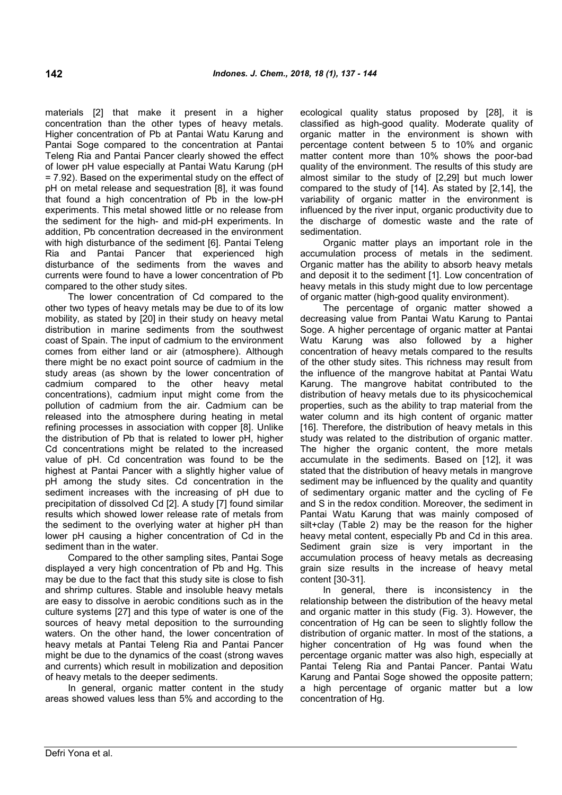materials [2] that make it present in a higher concentration than the other types of heavy metals. Higher concentration of Pb at Pantai Watu Karung and Pantai Soge compared to the concentration at Pantai Teleng Ria and Pantai Pancer clearly showed the effect of lower pH value especially at Pantai Watu Karung (pH = 7.92). Based on the experimental study on the effect of pH on metal release and sequestration [8], it was found that found a high concentration of Pb in the low-pH experiments. This metal showed little or no release from the sediment for the high- and mid-pH experiments. In addition, Pb concentration decreased in the environment with high disturbance of the sediment [6]. Pantai Teleng Ria and Pantai Pancer that experienced high disturbance of the sediments from the waves and currents were found to have a lower concentration of Pb compared to the other study sites.

The lower concentration of Cd compared to the other two types of heavy metals may be due to of its low mobility, as stated by [20] in their study on heavy metal distribution in marine sediments from the southwest coast of Spain. The input of cadmium to the environment comes from either land or air (atmosphere). Although there might be no exact point source of cadmium in the study areas (as shown by the lower concentration of cadmium compared to the other heavy metal concentrations), cadmium input might come from the pollution of cadmium from the air. Cadmium can be released into the atmosphere during heating in metal refining processes in association with copper [8]. Unlike the distribution of Pb that is related to lower pH, higher Cd concentrations might be related to the increased value of pH. Cd concentration was found to be the highest at Pantai Pancer with a slightly higher value of pH among the study sites. Cd concentration in the sediment increases with the increasing of pH due to precipitation of dissolved Cd [2]. A study [7] found similar results which showed lower release rate of metals from the sediment to the overlying water at higher pH than lower pH causing a higher concentration of Cd in the sediment than in the water.

Compared to the other sampling sites, Pantai Soge displayed a very high concentration of Pb and Hg. This may be due to the fact that this study site is close to fish and shrimp cultures. Stable and insoluble heavy metals are easy to dissolve in aerobic conditions such as in the culture systems [27] and this type of water is one of the sources of heavy metal deposition to the surrounding waters. On the other hand, the lower concentration of heavy metals at Pantai Teleng Ria and Pantai Pancer might be due to the dynamics of the coast (strong waves and currents) which result in mobilization and deposition of heavy metals to the deeper sediments.

In general, organic matter content in the study areas showed values less than 5% and according to the ecological quality status proposed by [28], it is classified as high-good quality. Moderate quality of organic matter in the environment is shown with percentage content between 5 to 10% and organic matter content more than 10% shows the poor-bad quality of the environment. The results of this study are almost similar to the study of [2,29] but much lower compared to the study of [14]. As stated by [2,14], the variability of organic matter in the environment is influenced by the river input, organic productivity due to the discharge of domestic waste and the rate of sedimentation.

Organic matter plays an important role in the accumulation process of metals in the sediment. Organic matter has the ability to absorb heavy metals and deposit it to the sediment [1]. Low concentration of heavy metals in this study might due to low percentage of organic matter (high-good quality environment).

The percentage of organic matter showed a decreasing value from Pantai Watu Karung to Pantai Soge. A higher percentage of organic matter at Pantai Watu Karung was also followed by a higher concentration of heavy metals compared to the results of the other study sites. This richness may result from the influence of the mangrove habitat at Pantai Watu Karung. The mangrove habitat contributed to the distribution of heavy metals due to its physicochemical properties, such as the ability to trap material from the water column and its high content of organic matter [16]. Therefore, the distribution of heavy metals in this study was related to the distribution of organic matter. The higher the organic content, the more metals accumulate in the sediments. Based on [12], it was stated that the distribution of heavy metals in mangrove sediment may be influenced by the quality and quantity of sedimentary organic matter and the cycling of Fe and S in the redox condition. Moreover, the sediment in Pantai Watu Karung that was mainly composed of silt+clay (Table 2) may be the reason for the higher heavy metal content, especially Pb and Cd in this area. Sediment grain size is very important in the accumulation process of heavy metals as decreasing grain size results in the increase of heavy metal content [30-31].

In general, there is inconsistency in the relationship between the distribution of the heavy metal and organic matter in this study (Fig. 3). However, the concentration of Hg can be seen to slightly follow the distribution of organic matter. In most of the stations, a higher concentration of Hg was found when the percentage organic matter was also high, especially at Pantai Teleng Ria and Pantai Pancer. Pantai Watu Karung and Pantai Soge showed the opposite pattern; a high percentage of organic matter but a low concentration of Hg.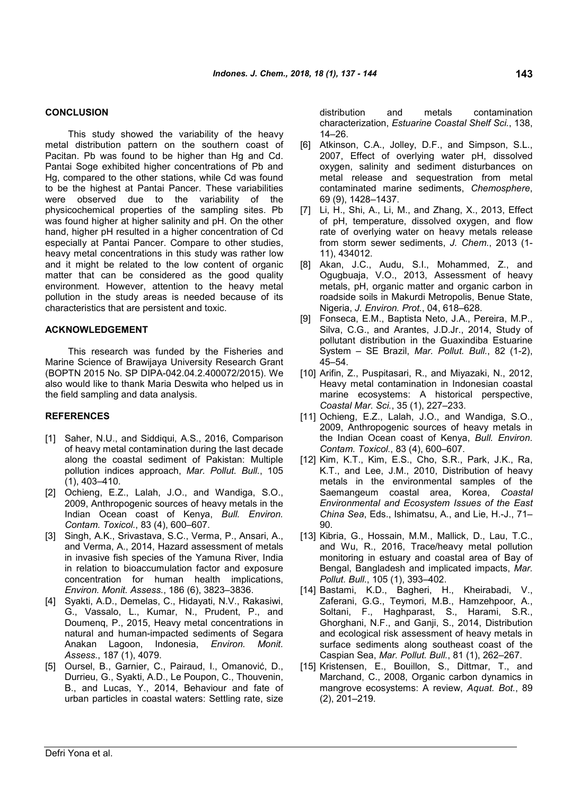### **CONCLUSION**

This study showed the variability of the heavy metal distribution pattern on the southern coast of Pacitan. Pb was found to be higher than Hg and Cd. Pantai Soge exhibited higher concentrations of Pb and Hg, compared to the other stations, while Cd was found to be the highest at Pantai Pancer. These variabilities were observed due to the variability of the physicochemical properties of the sampling sites. Pb was found higher at higher salinity and pH. On the other hand, higher pH resulted in a higher concentration of Cd especially at Pantai Pancer. Compare to other studies, heavy metal concentrations in this study was rather low and it might be related to the low content of organic matter that can be considered as the good quality environment. However, attention to the heavy metal pollution in the study areas is needed because of its characteristics that are persistent and toxic.

#### **ACKNOWLEDGEMENT**

This research was funded by the Fisheries and Marine Science of Brawijaya University Research Grant (BOPTN 2015 No. SP DIPA-042.04.2.400072/2015). We also would like to thank Maria Deswita who helped us in the field sampling and data analysis.

#### **REFERENCES**

- [1] Saher, N.U., and Siddiqui, A.S., 2016, Comparison of heavy metal contamination during the last decade along the coastal sediment of Pakistan: Multiple pollution indices approach, *Mar. Pollut. Bull.*, 105 (1), 403–410.
- [2] Ochieng, E.Z., Lalah, J.O., and Wandiga, S.O., 2009, Anthropogenic sources of heavy metals in the Indian Ocean coast of Kenya, *Bull. Environ. Contam. Toxicol.*, 83 (4), 600–607.
- [3] Singh, A.K., Srivastava, S.C., Verma, P., Ansari, A., and Verma, A., 2014, Hazard assessment of metals in invasive fish species of the Yamuna River, India in relation to bioaccumulation factor and exposure concentration for human health implications, *Environ. Monit. Assess.*, 186 (6), 3823–3836.
- [4] Syakti, A.D., Demelas, C., Hidayati, N.V., Rakasiwi, G., Vassalo, L., Kumar, N., Prudent, P., and Doumenq, P., 2015, Heavy metal concentrations in natural and human-impacted sediments of Segara Anakan Lagoon, Indonesia, *Environ. Monit. Assess.*, 187 (1), 4079.
- [5] Oursel, B., Garnier, C., Pairaud, I., Omanović, D., Durrieu, G., Syakti, A.D., Le Poupon, C., Thouvenin, B., and Lucas, Y., 2014, Behaviour and fate of urban particles in coastal waters: Settling rate, size

distribution and metals contamination characterization, *Estuarine Coastal Shelf Sci.*, 138, 14–26.

- Atkinson, C.A., Jolley, D.F., and Simpson, S.L., 2007, Effect of overlying water pH, dissolved oxygen, salinity and sediment disturbances on metal release and sequestration from metal contaminated marine sediments, *Chemosphere*, 69 (9), 1428–1437.
- [7] Li, H., Shi, A., Li, M., and Zhang, X., 2013, Effect of pH, temperature, dissolved oxygen, and flow rate of overlying water on heavy metals release from storm sewer sediments, *J. Chem.*, 2013 (1- 11), 434012.
- [8] Akan, J.C., Audu, S.I., Mohammed, Z., and Ogugbuaja, V.O., 2013, Assessment of heavy metals, pH, organic matter and organic carbon in roadside soils in Makurdi Metropolis, Benue State, Nigeria, *J. Environ. Prot.*, 04, 618–628.
- [9] Fonseca, E.M., Baptista Neto, J.A., Pereira, M.P., Silva, C.G., and Arantes, J.D.Jr., 2014, Study of pollutant distribution in the Guaxindiba Estuarine System – SE Brazil, *Mar. Pollut. Bull.*, 82 (1-2), 45–54.
- [10] Arifin, Z., Puspitasari, R., and Miyazaki, N., 2012, Heavy metal contamination in Indonesian coastal marine ecosystems: A historical perspective, *Coastal Mar. Sci.*, 35 (1), 227–233.
- [11] Ochieng, E.Z., Lalah, J.O., and Wandiga, S.O., 2009, Anthropogenic sources of heavy metals in the Indian Ocean coast of Kenya, *Bull. Environ. Contam. Toxicol.*, 83 (4), 600–607.
- [12] Kim, K.T., Kim, E.S., Cho, S.R., Park, J.K., Ra, K.T., and Lee, J.M., 2010, Distribution of heavy metals in the environmental samples of the Saemangeum coastal area, Korea, *Coastal Environmental and Ecosystem Issues of the East China Sea*, Eds., Ishimatsu, A., and Lie, H.-J., 71– 90.
- [13] Kibria, G., Hossain, M.M., Mallick, D., Lau, T.C., and Wu, R., 2016, Trace/heavy metal pollution monitoring in estuary and coastal area of Bay of Bengal, Bangladesh and implicated impacts, *Mar. Pollut. Bull.*, 105 (1), 393–402.
- [14] Bastami, K.D., Bagheri, H., Kheirabadi, V., Zaferani, G.G., Teymori, M.B., Hamzehpoor, A., Soltani, F., Haghparast, S., Harami, S.R., Ghorghani, N.F., and Ganji, S., 2014, Distribution and ecological risk assessment of heavy metals in surface sediments along southeast coast of the Caspian Sea, *Mar. Pollut. Bull.*, 81 (1), 262–267.
- [15] Kristensen, E., Bouillon, S., Dittmar, T., and Marchand, C., 2008, Organic carbon dynamics in mangrove ecosystems: A review, *Aquat. Bot.*, 89 (2), 201–219.